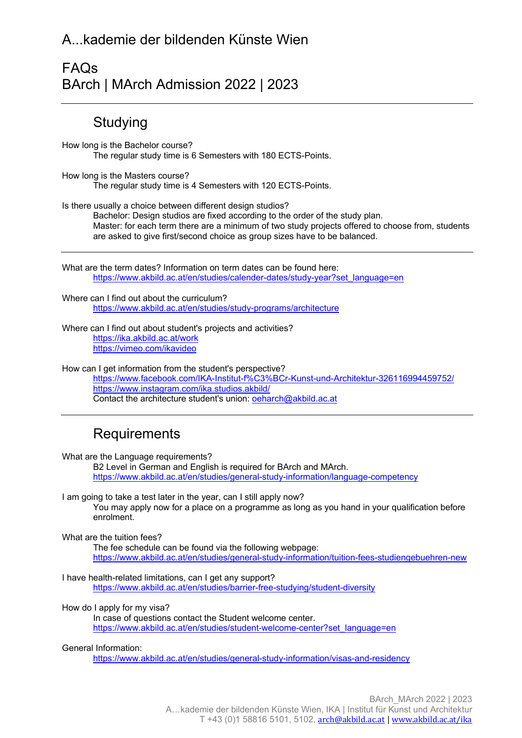## A...kademie der bildenden Künste Wien

## FAQs BArch | MArch Admission 2022 | 2023

## **Studying**

How long is the Bachelor course? The regular study time is 6 Semesters with 180 ECTS-Points.

How long is the Masters course? The regular study time is 4 Semesters with 120 ECTS-Points.

Is there usually a choice between different design studios?

Bachelor: Design studios are fixed according to the order of the study plan. Master: for each term there are a minimum of two study projects offered to choose from, students are asked to give first/second choice as group sizes have to be balanced.

What are the term dates? Information on term dates can be found here: https://www.akbild.ac.at/en/studies/calender-dates/study-year?set\_language=en

Where can I find out about the curriculum? https://www.akbild.ac.at/en/studies/study-programs/architecture

Where can I find out about student's projects and activities? https://ika.akbild.ac.at/work https://vimeo.com/ikavideo

How can I get information from the student's perspective? https://www.facebook.com/IKA-Institut-f%C3%BCr-Kunst-und-Architektur-326116994459752/ https://www.instagram.com/ika.studios.akbild/ Contact the architecture student's union: oeharch@akbild.ac.at

# **Requirements**

What are the Language requirements? B2 Level in German and English is required for BArch and MArch.

https://www.akbild.ac.at/en/studies/general-study-information/language-competency

I am going to take a test later in the year, can I still apply now? You may apply now for a place on a programme as long as you hand in your qualification before enrolment.

What are the tuition fees?

The fee schedule can be found via the following webpage: https://www.akbild.ac.at/en/studies/general-study-information/tuition-fees-studiengebuehren-new

I have health-related limitations, can I get any support? https://www.akbild.ac.at/en/studies/barrier-free-studying/student-diversity

How do I apply for my visa?

In case of questions contact the Student welcome center. https://www.akbild.ac.at/en/studies/student-welcome-center?set\_language=en

#### General Information:

https://www.akbild.ac.at/en/studies/general-study-information/visas-and-residency